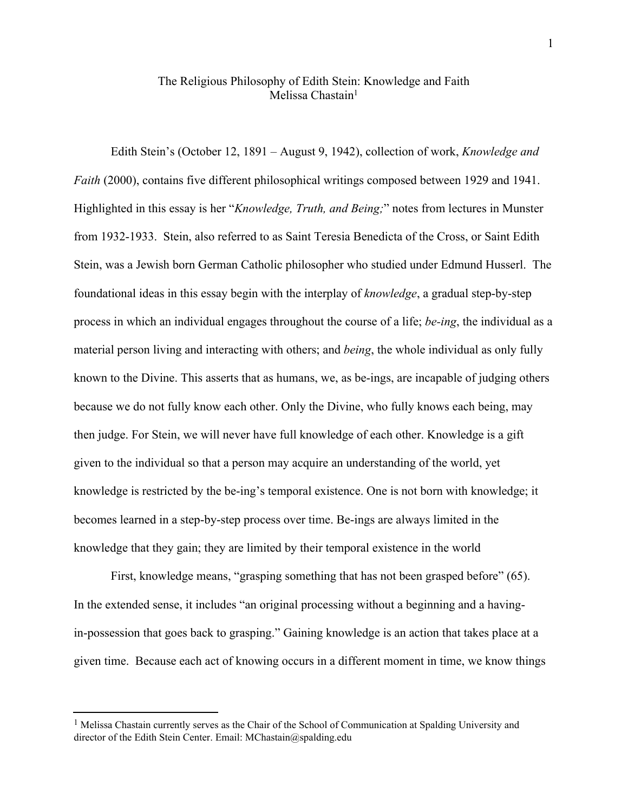## The Religious Philosophy of Edith Stein: Knowledge and Faith Melissa Chastain 1

Edith Stein's (October 12, 1891 – August 9, 1942), collection of work, *Knowledge and Faith* (2000), contains five different philosophical writings composed between 1929 and 1941. Highlighted in this essay is her "*Knowledge, Truth, and Being;*" notes from lectures in Munster from 1932-1933. Stein, also referred to as Saint Teresia Benedicta of the Cross, or Saint Edith Stein, was a Jewish born [German](http://germany) [Catholic](http://catholic) [philosopher](http://philosophy) who studied under Edmund Husserl. The foundational ideas in this essay begin with the interplay of *knowledge*, a gradual step-by-step process in which an individual engages throughout the course of a life; *be-ing*, the individual as a material person living and interacting with others; and *being*, the whole individual as only fully known to the Divine. This asserts that as humans, we, as be-ings, are incapable of judging others because we do not fully know each other. Only the Divine, who fully knows each being, may then judge. For Stein, we will never have full knowledge of each other. Knowledge is a gift given to the individual so that a person may acquire an understanding of the world, yet knowledge is restricted by the be-ing's temporal existence. One is not born with knowledge; it becomes learned in a step-by-step process over time. Be-ings are always limited in the knowledge that they gain; they are limited by their temporal existence in the world

First, knowledge means, "grasping something that has not been grasped before" (65). In the extended sense, it includes "an original processing without a beginning and a havingin-possession that goes back to grasping." Gaining knowledge is an action that takes place at a given time. Because each act of knowing occurs in a different moment in time, we know things

<sup>&</sup>lt;sup>1</sup> Melissa Chastain currently serves as the Chair of the School of Communication at Spalding University and director of the Edith Stein Center. Email: MChastain@spalding.edu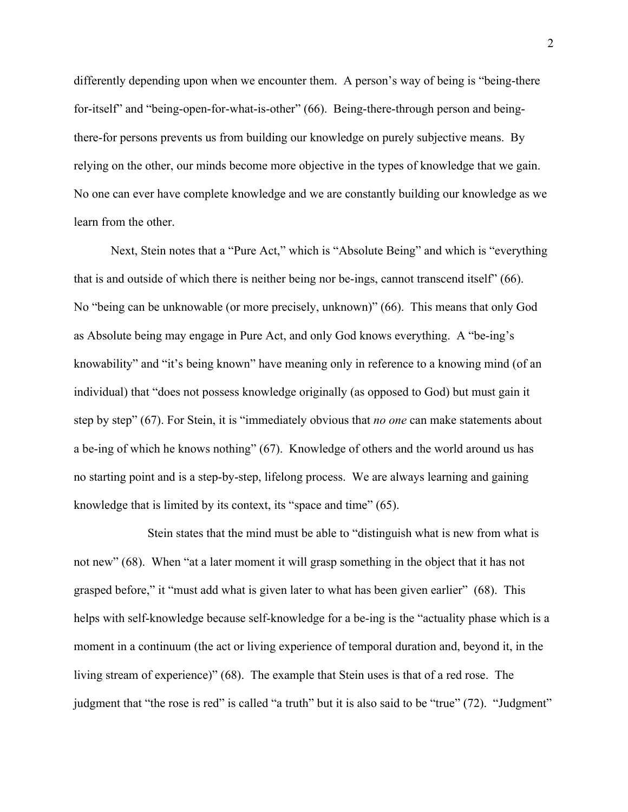differently depending upon when we encounter them. A person's way of being is "being-there for-itself" and "being-open-for-what-is-other" (66). Being-there-through person and beingthere-for persons prevents us from building our knowledge on purely subjective means. By relying on the other, our minds become more objective in the types of knowledge that we gain. No one can ever have complete knowledge and we are constantly building our knowledge as we learn from the other.

Next, Stein notes that a "Pure Act," which is "Absolute Being" and which is "everything that is and outside of which there is neither being nor be-ings, cannot transcend itself" (66). No "being can be unknowable (or more precisely, unknown)" (66). This means that only God as Absolute being may engage in Pure Act, and only God knows everything. A "be-ing's knowability" and "it's being known" have meaning only in reference to a knowing mind (of an individual) that "does not possess knowledge originally (as opposed to God) but must gain it step by step" (67). For Stein, it is "immediately obvious that *no one* can make statements about a be-ing of which he knows nothing" (67). Knowledge of others and the world around us has no starting point and is a step-by-step, lifelong process. We are always learning and gaining knowledge that is limited by its context, its "space and time" (65).

Stein states that the mind must be able to "distinguish what is new from what is not new" (68). When "at a later moment it will grasp something in the object that it has not grasped before," it "must add what is given later to what has been given earlier" (68). This helps with self-knowledge because self-knowledge for a be-ing is the "actuality phase which is a moment in a continuum (the act or living experience of temporal duration and, beyond it, in the living stream of experience)" (68). The example that Stein uses is that of a red rose. The judgment that "the rose is red" is called "a truth" but it is also said to be "true" (72). "Judgment"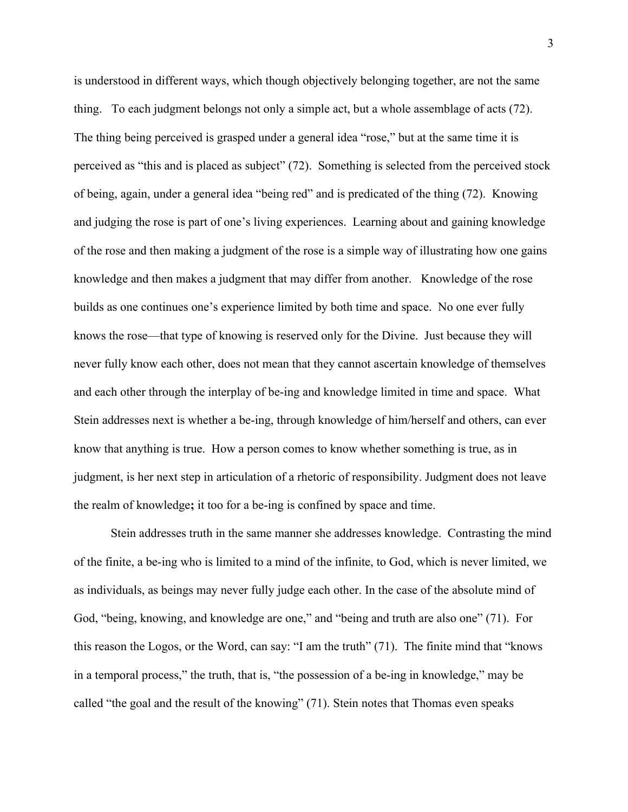is understood in different ways, which though objectively belonging together, are not the same thing. To each judgment belongs not only a simple act, but a whole assemblage of acts (72). The thing being perceived is grasped under a general idea "rose," but at the same time it is perceived as "this and is placed as subject" (72). Something is selected from the perceived stock of being, again, under a general idea "being red" and is predicated of the thing (72). Knowing and judging the rose is part of one's living experiences. Learning about and gaining knowledge of the rose and then making a judgment of the rose is a simple way of illustrating how one gains knowledge and then makes a judgment that may differ from another. Knowledge of the rose builds as one continues one's experience limited by both time and space. No one ever fully knows the rose—that type of knowing is reserved only for the Divine. Just because they will never fully know each other, does not mean that they cannot ascertain knowledge of themselves and each other through the interplay of be-ing and knowledge limited in time and space. What Stein addresses next is whether a be-ing, through knowledge of him/herself and others, can ever know that anything is true. How a person comes to know whether something is true, as in judgment, is her next step in articulation of a rhetoric of responsibility. Judgment does not leave the realm of knowledge**;** it too for a be-ing is confined by space and time.

Stein addresses truth in the same manner she addresses knowledge. Contrasting the mind of the finite, a be-ing who is limited to a mind of the infinite, to God, which is never limited, we as individuals, as beings may never fully judge each other. In the case of the absolute mind of God, "being, knowing, and knowledge are one," and "being and truth are also one" (71). For this reason the Logos, or the Word, can say: "I am the truth" (71). The finite mind that "knows in a temporal process," the truth, that is, "the possession of a be-ing in knowledge," may be called "the goal and the result of the knowing" (71). Stein notes that Thomas even speaks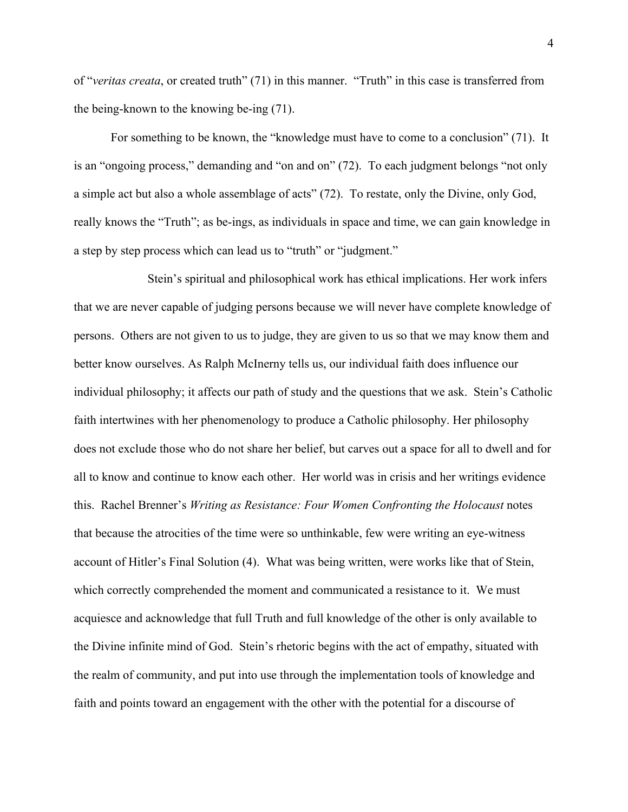of "*veritas creata*, or created truth" (71) in this manner. "Truth" in this case is transferred from the being-known to the knowing be-ing (71).

For something to be known, the "knowledge must have to come to a conclusion" (71). It is an "ongoing process," demanding and "on and on" (72). To each judgment belongs "not only a simple act but also a whole assemblage of acts" (72). To restate, only the Divine, only God, really knows the "Truth"; as be-ings, as individuals in space and time, we can gain knowledge in a step by step process which can lead us to "truth" or "judgment."

Stein's spiritual and philosophical work has ethical implications. Her work infers that we are never capable of judging persons because we will never have complete knowledge of persons. Others are not given to us to judge, they are given to us so that we may know them and better know ourselves. As Ralph McInerny tells us, our individual faith does influence our individual philosophy; it affects our path of study and the questions that we ask. Stein's Catholic faith intertwines with her phenomenology to produce a Catholic philosophy. Her philosophy does not exclude those who do not share her belief, but carves out a space for all to dwell and for all to know and continue to know each other. Her world was in crisis and her writings evidence this. Rachel Brenner's *Writing as Resistance: Four Women Confronting the Holocaust* notes that because the atrocities of the time were so unthinkable, few were writing an eye-witness account of Hitler's Final Solution (4). What was being written, were works like that of Stein, which correctly comprehended the moment and communicated a resistance to it. We must acquiesce and acknowledge that full Truth and full knowledge of the other is only available to the Divine infinite mind of God. Stein's rhetoric begins with the act of empathy, situated with the realm of community, and put into use through the implementation tools of knowledge and faith and points toward an engagement with the other with the potential for a discourse of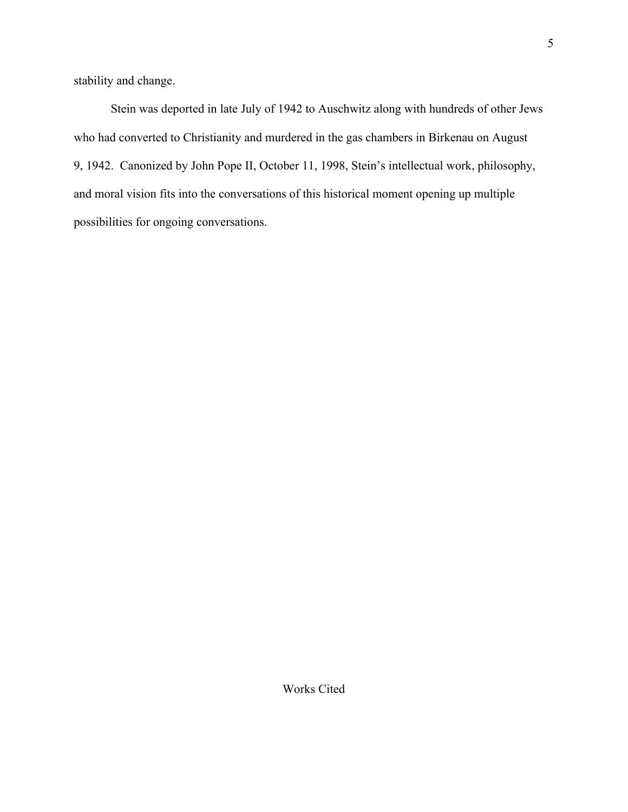stability and change.

Stein was deported in late July of 1942 to Auschwitz along with hundreds of other Jews who had converted to Christianity and murdered in the gas chambers in Birkenau on August 9, 1942. Canonized by John Pope II, October 11, 1998, Stein's intellectual work, philosophy, and moral vision fits into the conversations of this historical moment opening up multiple possibilities for ongoing conversations.

Works Cited